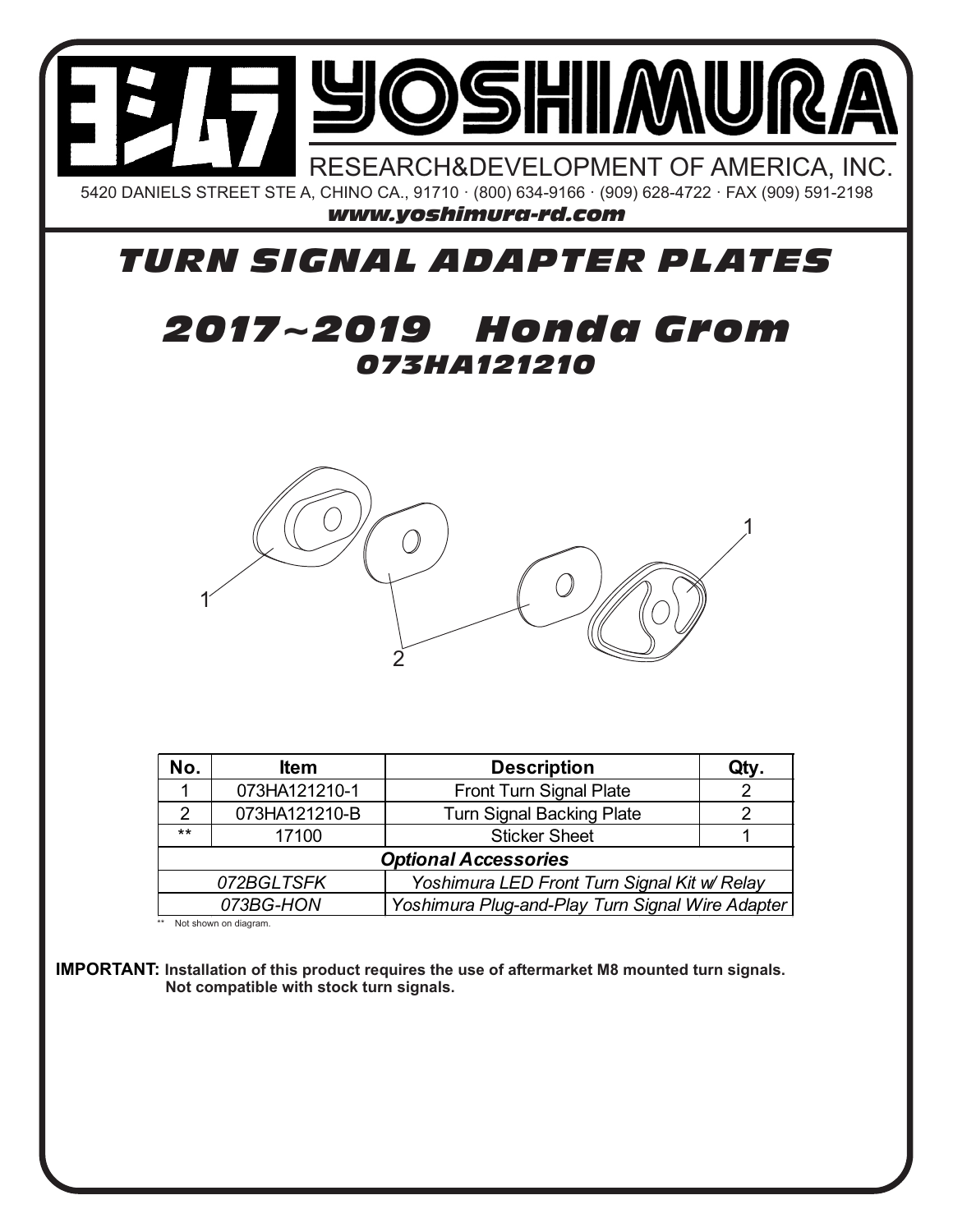

## *TURN SIGNAL ADAPTER PLATES*

## *073HA121210 2017~2019 Honda Grom*



| No.                                                           | <b>Item</b>   | <b>Description</b>               | Qty. |
|---------------------------------------------------------------|---------------|----------------------------------|------|
|                                                               | 073HA121210-1 | <b>Front Turn Signal Plate</b>   |      |
| $\mathcal{P}$                                                 | 073HA121210-B | <b>Turn Signal Backing Plate</b> |      |
| $***$                                                         | 17100         | <b>Sticker Sheet</b>             |      |
| <b>Optional Accessories</b>                                   |               |                                  |      |
| Yoshimura LED Front Turn Signal Kit w/ Relay<br>072BGLTSFK    |               |                                  |      |
| 073BG-HON<br>Yoshimura Plug-and-Play Turn Signal Wire Adapter |               |                                  |      |

\*\* Not shown on diagram.

**IMPORTANT: Installation of this product requires the use of aftermarket M8 mounted turn signals. Not compatible with stock turn signals.**